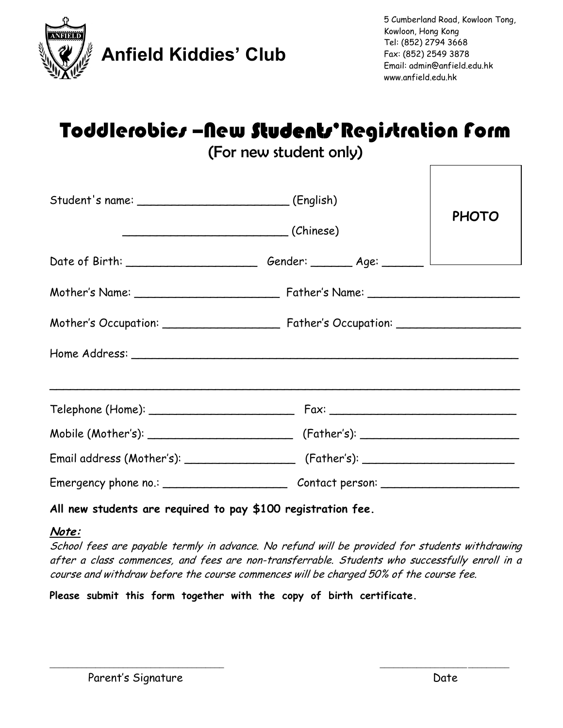

# Toddlerobics –New Students'Registration form

(For new student only)

| Student's name: __________________________(English) | $\sqrt{2}$ (Chinese)                                                                                 | <b>PHOTO</b> |
|-----------------------------------------------------|------------------------------------------------------------------------------------------------------|--------------|
|                                                     | Date of Birth: ___________________________Gender: _________ Age: ________ L_________________________ |              |
|                                                     |                                                                                                      |              |
|                                                     | Mother's Occupation: Father's Occupation: Community Occupation:                                      |              |
|                                                     |                                                                                                      |              |
|                                                     |                                                                                                      |              |
|                                                     |                                                                                                      |              |
|                                                     |                                                                                                      |              |
|                                                     | Emergency phone no.: _____________________________Contact person: _______________                    |              |

### **All new students are required to pay \$100 registration fee.**

### **Note:**

School fees are payable termly in advance. No refund will be provided for students withdrawing after a class commences, and fees are non-transferrable. Students who successfully enroll in a course and withdraw before the course commences will be charged 50% of the course fee.

\_\_\_\_\_\_\_\_\_\_\_\_\_\_\_\_\_\_\_\_\_\_\_\_\_\_\_\_\_\_\_\_\_\_\_\_\_\_ \_\_\_\_\_\_\_\_\_\_\_\_\_\_\_\_\_\_\_\_\_\_\_\_\_\_\_\_

**Please submit this form together with the copy of birth certificate.**